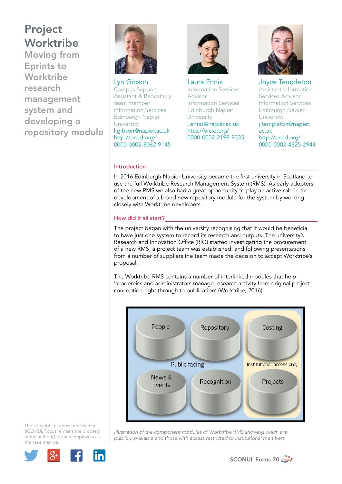Moving from Eprints to Worktribe research management system and developing a repository module



Lyn Gibson Campus Support Assistant & Repository team member Information Services Edinburgh Napier University l.gibson@napier.ac.uk http://orcid.org/ 0000-0002-8062-9145



Laura Ennis Information Services Advisor Information Services Edinburgh Napier University l.ennis@napier.ac.uk http://orcid.org/ 0000-0002-2198-9335



Joyce Templeton Assistant Information Services Advisor Information Services Edinburgh Napier University j.templeton@napier. ac.uk http://orcid.org/ 0000-0002-4525-2944

#### Introduction

In 2016 Edinburgh Napier University became the first university in Scotland to use the full Worktribe Research Management System (RMS). As early adopters of the new RMS we also had a great opportunity to play an active role in the development of a brand new repository module for the system by working closely with Worktribe developers.

#### How did it all start?

The project began with the university recognising that it would be beneficial to have just one system to record its research and outputs. The university's Research and Innovation Office (RIO) started investigating the procurement of a new RMS, a project team was established, and following presentations from a number of suppliers the team made the decision to accept Worktribe's proposal.

The Worktribe RMS contains a number of interlinked modules that help 'academics and administrators manage research activity from original project conception right through to publication' (Worktribe, 2016).



The copyright in items published in *SCONUL Focus* remains the property of the author(s) or their employers as the case may be.



*Illustration of the component modules of Worktribe RMS showing which are publicly available and those with access restricted to institutional members*

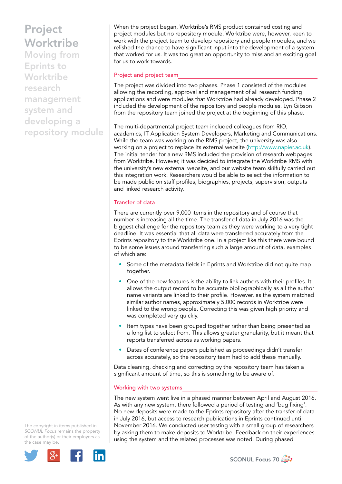Moving from Eprints to Worktribe research management system and developing a repository module When the project began, Worktribe's RMS product contained costing and project modules but no repository module. Worktribe were, however, keen to work with the project team to develop repository and people modules, and we relished the chance to have significant input into the development of a system that worked for us. It was too great an opportunity to miss and an exciting goal for us to work towards.

## Project and project team

The project was divided into two phases. Phase 1 consisted of the modules allowing the recording, approval and management of all research funding applications and were modules that Worktribe had already developed. Phase 2 included the development of the repository and people modules. Lyn Gibson from the repository team joined the project at the beginning of this phase.

The multi-departmental project team included colleagues from RIO, academics, IT Application System Developers, Marketing and Communications. While the team was working on the RMS project, the university was also working on a project to replace its external website (http://www.napier.ac.uk). The initial tender for a new RMS included the provision of research webpages from Worktribe. However, it was decided to integrate the Worktribe RMS with the university's new external website, and our website team skilfully carried out this integration work. Researchers would be able to select the information to be made public on staff profiles, biographies, projects, supervision, outputs and linked research activity.

## Transfer of data

There are currently over 9,000 items in the repository and of course that number is increasing all the time. The transfer of data in July 2016 was the biggest challenge for the repository team as they were working to a very tight deadline. It was essential that all data were transferred accurately from the Eprints repository to the Worktribe one. In a project like this there were bound to be some issues around transferring such a large amount of data, examples of which are:

- Some of the metadata fields in Eprints and Worktribe did not quite map together.
- One of the new features is the ability to link authors with their profiles. It allows the output record to be accurate bibliographically as all the author name variants are linked to their profile. However, as the system matched similar author names, approximately 5,000 records in Worktribe were linked to the wrong people. Correcting this was given high priority and was completed very quickly.
- Item types have been grouped together rather than being presented as a long list to select from. This allows greater granularity, but it meant that reports transferred across as working papers.
- Dates of conference papers published as proceedings didn't transfer across accurately, so the repository team had to add these manually.

Data cleaning, checking and correcting by the repository team has taken a significant amount of time, so this is something to be aware of.

#### Working with two systems

The new system went live in a phased manner between April and August 2016. As with any new system, there followed a period of testing and 'bug fixing'. No new deposits were made to the Eprints repository after the transfer of data in July 2016, but access to research publications in Eprints continued until November 2016. We conducted user testing with a small group of researchers by asking them to make deposits to Worktribe. Feedback on their experiences using the system and the related processes was noted. During phased

The copyright in items published in *SCONUL Focus* remains the property of the author(s) or their employers as the case may be.



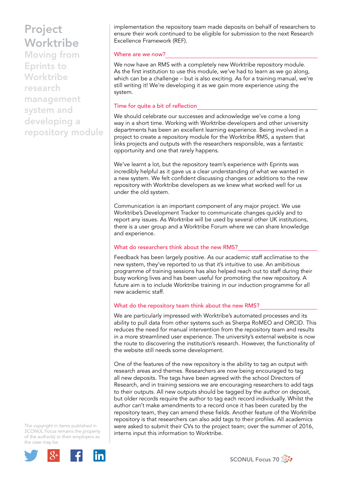Moving from Eprints to **Worktribe** research management system and developing a repository module implementation the repository team made deposits on behalf of researchers to ensure their work continued to be eligible for submission to the next Research Excellence Framework (REF).

#### Where are we now?

We now have an RMS with a completely new Worktribe repository module. As the first institution to use this module, we've had to learn as we go along, which can be a challenge – but is also exciting. As for a training manual, we're still writing it! We're developing it as we gain more experience using the system.

#### Time for quite a bit of reflection

We should celebrate our successes and acknowledge we've come a long way in a short time. Working with Worktribe developers and other university departments has been an excellent learning experience. Being involved in a project to create a repository module for the Worktribe RMS, a system that links projects and outputs with the researchers responsible, was a fantastic opportunity and one that rarely happens.

We've learnt a lot, but the repository team's experience with Eprints was incredibly helpful as it gave us a clear understanding of what we wanted in a new system. We felt confident discussing changes or additions to the new repository with Worktribe developers as we knew what worked well for us under the old system.

Communication is an important component of any major project. We use Worktribe's Development Tracker to communicate changes quickly and to report any issues. As Worktribe will be used by several other UK institutions, there is a user group and a Worktribe Forum where we can share knowledge and experience.

#### What do researchers think about the new RMS?

Feedback has been largely positive. As our academic staff acclimatise to the new system, they've reported to us that it's intuitive to use. An ambitious programme of training sessions has also helped reach out to staff during their busy working lives and has been useful for promoting the new repository. A future aim is to include Worktribe training in our induction programme for all new academic staff.

### What do the repository team think about the new RMS?

We are particularly impressed with Worktribe's automated processes and its ability to pull data from other systems such as Sherpa RoMEO and ORCID. This reduces the need for manual intervention from the repository team and results in a more streamlined user experience. The university's external website is now the route to discovering the institution's research. However, the functionality of the website still needs some development.

One of the features of the new repository is the ability to tag an output with research areas and themes. Researchers are now being encouraged to tag all new deposits. The tags have been agreed with the school Directors of Research, and in training sessions we are encouraging researchers to add tags to their outputs. All new outputs should be tagged by the author on deposit, but older records require the author to tag each record individually. Whilst the author can't make amendments to a record once it has been curated by the repository team, they can amend these fields. Another feature of the Worktribe repository is that researchers can also add tags to their profiles. All academics were asked to submit their CVs to the project team; over the summer of 2016, interns input this information to Worktribe.

The copyright in items published in *SCONUL Focus* remains the property of the author(s) or their employers as the case may be.